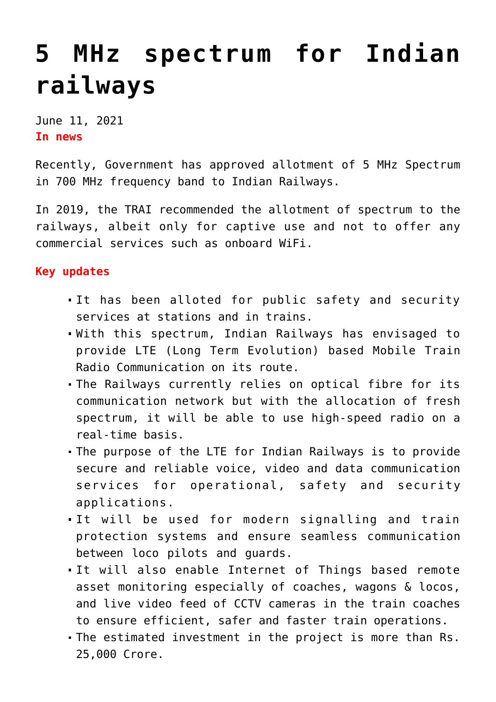## **[5 MHz spectrum for Indian](https://journalsofindia.com/5-mhz-spectrum-for-indian-railways/) [railways](https://journalsofindia.com/5-mhz-spectrum-for-indian-railways/)**

June 11, 2021 **In news** 

Recently, Government has approved allotment of 5 MHz Spectrum in 700 MHz frequency band to Indian Railways.

In 2019, the TRAI recommended the allotment of spectrum to the railways, albeit only for captive use and not to offer any commercial services such as onboard WiFi.

## **Key updates**

- It has been alloted for public safety and security services at stations and in trains.
- With this spectrum, Indian Railways has envisaged to provide LTE (Long Term Evolution) based Mobile Train Radio Communication on its route.
- The Railways currently relies on optical fibre for its communication network but with the allocation of fresh spectrum, it will be able to use high-speed radio on a real-time basis.
- The purpose of the LTE for Indian Railways is to provide secure and reliable voice, video and data communication services for operational, safety and security applications.
- It will be used for modern signalling and train protection systems and ensure seamless communication between loco pilots and guards.
- It will also enable Internet of Things based remote asset monitoring especially of coaches, wagons & locos, and live video feed of CCTV cameras in the train coaches to ensure efficient, safer and faster train operations.
- The estimated investment in the project is more than Rs. 25,000 Crore.